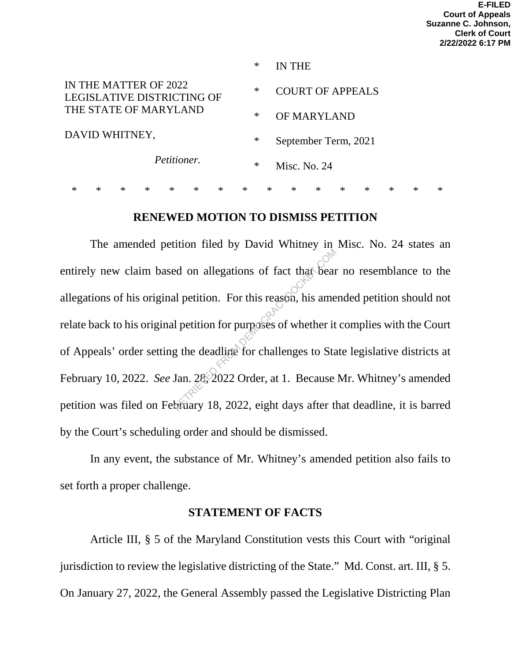|                                                     | ∗ | IN THE                  |
|-----------------------------------------------------|---|-------------------------|
| IN THE MATTER OF 2022<br>LEGISLATIVE DISTRICTING OF | ∗ | <b>COURT OF APPEALS</b> |
| THE STATE OF MARYLAND                               | ∗ | <b>OF MARYLAND</b>      |
| DAVID WHITNEY,                                      | ∗ | September Term, 2021    |
| Petitioner.                                         | ∗ | Misc. No. $24$          |
|                                                     |   |                         |

#### **RENEWED MOTION TO DISMISS PETITION**

\* \* \* \* \* \* \* \* \* \* \* \* \* \* \* \*

The amended petition filed by David Whitney in Misc. No. 24 states an entirely new claim based on allegations of fact that bear no resemblance to the allegations of his original petition. For this reason, his amended petition should not relate back to his original petition for purposes of whether it complies with the Court of Appeals' order setting the deadline for challenges to State legislative districts at February 10, 2022. *See Jan.* 28, 2022 Order, at 1. Because Mr. Whitney's amended petition was filed on February 18, 2022, eight days after that deadline, it is barred by the Court's scheduling order and should be dismissed. ed on allegations of fact that beam<br>al petition. For this reason, his ame<br>l petition for purposes of whether it<br>g the deadline for challenges to Sta<br>Jan. 28, 2022 Order, at 1. Because<br>bruary 18, 2022, eight days after the

In any event, the substance of Mr. Whitney's amended petition also fails to set forth a proper challenge.

#### **STATEMENT OF FACTS**

Article III, § 5 of the Maryland Constitution vests this Court with "original jurisdiction to review the legislative districting of the State." Md. Const. art. III, § 5. On January 27, 2022, the General Assembly passed the Legislative Districting Plan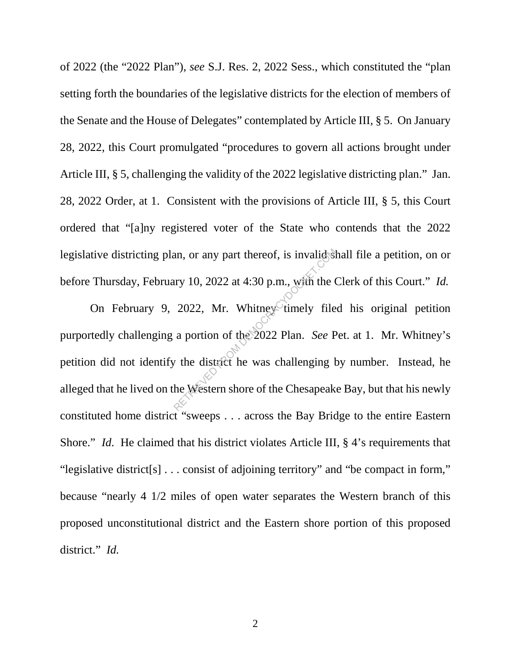of 2022 (the "2022 Plan"), *see* S.J. Res. 2, 2022 Sess., which constituted the "plan setting forth the boundaries of the legislative districts for the election of members of the Senate and the House of Delegates" contemplated by Article III, § 5. On January 28, 2022, this Court promulgated "procedures to govern all actions brought under Article III, § 5, challenging the validity of the 2022 legislative districting plan." Jan. 28, 2022 Order, at 1. Consistent with the provisions of Article III, § 5, this Court ordered that "[a]ny registered voter of the State who contends that the 2022 legislative districting plan, or any part thereof, is invalid shall file a petition, on or before Thursday, February 10, 2022 at 4:30 p.m., with the Clerk of this Court." *Id.*

On February 9, 2022, Mr. Whitney timely filed his original petition purportedly challenging a portion of the 2022 Plan. *See* Pet. at 1. Mr. Whitney's petition did not identify the district he was challenging by number. Instead, he alleged that he lived on the Western shore of the Chesapeake Bay, but that his newly constituted home district "sweeps . . . across the Bay Bridge to the entire Eastern Shore." *Id.* He claimed that his district violates Article III, § 4's requirements that "legislative district[s] . . . consist of adjoining territory" and "be compact in form," because "nearly 4 1/2 miles of open water separates the Western branch of this proposed unconstitutional district and the Eastern shore portion of this proposed district." *Id.* Alternative Democration Sample Single<br>Retrieve Democration Section 10, 2022 at 4:30 p.m., with the Contract of the 2022 Plan. See P<br>a portion of the 2022 Plan. See P<br>the district he was challenging b<br>the Western shore of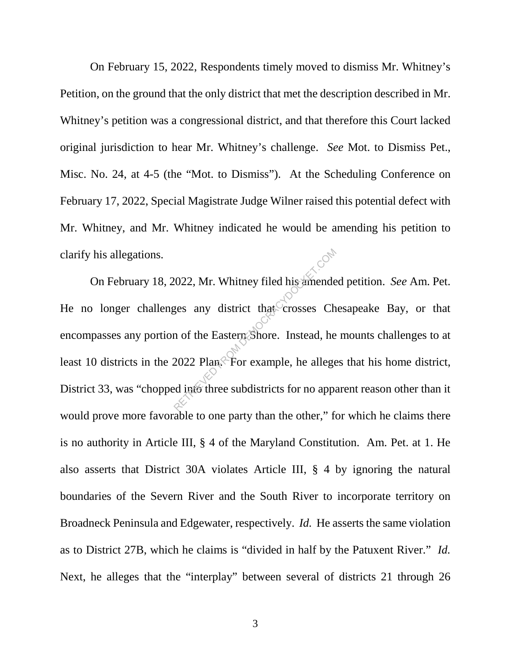On February 15, 2022, Respondents timely moved to dismiss Mr. Whitney's Petition, on the ground that the only district that met the description described in Mr. Whitney's petition was a congressional district, and that therefore this Court lacked original jurisdiction to hear Mr. Whitney's challenge. *See* Mot. to Dismiss Pet., Misc. No. 24, at 4-5 (the "Mot. to Dismiss"). At the Scheduling Conference on February 17, 2022, Special Magistrate Judge Wilner raised this potential defect with Mr. Whitney, and Mr. Whitney indicated he would be amending his petition to clarify his allegations.

On February 18, 2022, Mr. Whitney filed his amended petition. *See* Am. Pet. He no longer challenges any district that crosses Chesapeake Bay, or that encompasses any portion of the Eastern Shore. Instead, he mounts challenges to at least 10 districts in the 2022 Plan. For example, he alleges that his home district, District 33, was "chopped into three subdistricts for no apparent reason other than it would prove more favorable to one party than the other," for which he claims there is no authority in Article III, § 4 of the Maryland Constitution. Am. Pet. at 1. He also asserts that District 30A violates Article III, § 4 by ignoring the natural boundaries of the Severn River and the South River to incorporate territory on Broadneck Peninsula and Edgewater, respectively. *Id.* He asserts the same violation as to District 27B, which he claims is "divided in half by the Patuxent River." *Id.* Next, he alleges that the "interplay" between several of districts 21 through 26 Return 2022, Mr. Whitney filed his amende<br>ges any district that crosses Ch<br>n of the Eastern Shore. Instead, he<br>2022 Plan: For example, he allege<br>ed into three subdistricts for no appa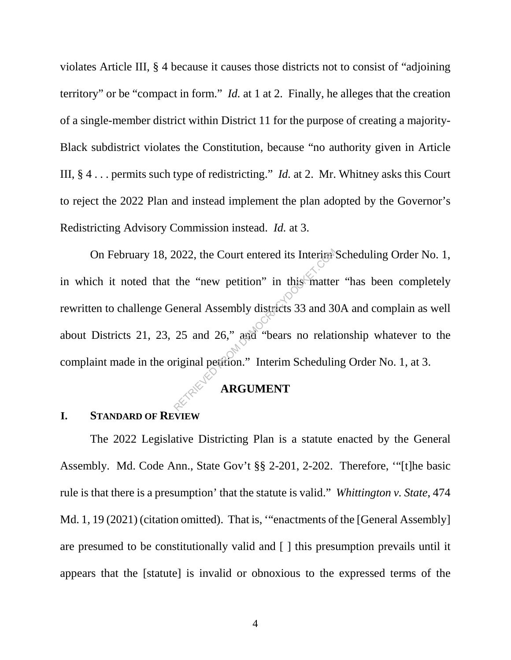violates Article III, § 4 because it causes those districts not to consist of "adjoining territory" or be "compact in form." *Id.* at 1 at 2. Finally, he alleges that the creation of a single-member district within District 11 for the purpose of creating a majority-Black subdistrict violates the Constitution, because "no authority given in Article III, § 4 . . . permits such type of redistricting." *Id.* at 2. Mr. Whitney asks this Court to reject the 2022 Plan and instead implement the plan adopted by the Governor's Redistricting Advisory Commission instead. *Id.* at 3.

On February 18, 2022, the Court entered its Interim Scheduling Order No. 1, in which it noted that the "new petition" in this matter "has been completely rewritten to challenge General Assembly districts 33 and 30A and complain as well about Districts 21, 23, 25 and 26," and "bears no relationship whatever to the complaint made in the original petition." Interim Scheduling Order No. 1, at 3. 2022, the Court entered its Interiar<sup>9</sup><br>the "new petition" in this matter<br>eneral Assembly districts 33 and 30<br>25 and 26," and "bears no relati<br>riginal petition." Interim Schedulin

# **ARGUMENT**

#### **I. STANDARD OF REVIEW**

The 2022 Legislative Districting Plan is a statute enacted by the General Assembly. Md. Code Ann., State Gov't §§ 2-201, 2-202. Therefore, '"[t]he basic rule is that there is a presumption' that the statute is valid." *Whittington v. State*, 474 Md. 1, 19 (2021) (citation omitted). That is, "enactments of the [General Assembly] are presumed to be constitutionally valid and [ ] this presumption prevails until it appears that the [statute] is invalid or obnoxious to the expressed terms of the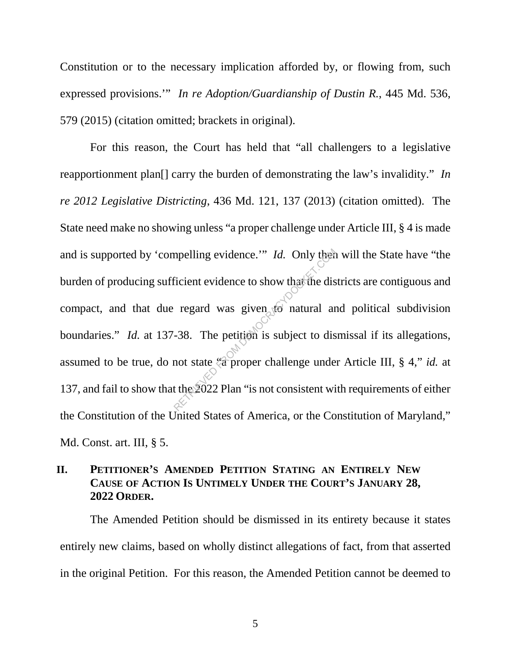Constitution or to the necessary implication afforded by, or flowing from, such expressed provisions.'" *In re Adoption/Guardianship of Dustin R.*, 445 Md. 536, 579 (2015) (citation omitted; brackets in original).

For this reason, the Court has held that "all challengers to a legislative reapportionment plan[] carry the burden of demonstrating the law's invalidity." *In re 2012 Legislative Districting*, 436 Md. 121, 137 (2013) (citation omitted). The State need make no showing unless "a proper challenge under Article III, § 4 is made and is supported by 'compelling evidence.'" *Id.* Only then will the State have "the burden of producing sufficient evidence to show that the districts are contiguous and compact, and that due regard was given  $\overline{10}$  natural and political subdivision boundaries." *Id.* at 137-38. The petition is subject to dismissal if its allegations, assumed to be true, do not state "a proper challenge under Article III, § 4," *id.* at 137, and fail to show that the 2022 Plan "is not consistent with requirements of either the Constitution of the United States of America, or the Constitution of Maryland," Md. Const. art. III, § 5. mpelling evidence." Id. Only then<br>ficient evidence to show that the dis<br>regard was given to natural are<br>-38. The petition is subject to dis<br>not state  $\frac{1}{20}$  proper challenge unde<br>t the 2022 Plan "is not consistent wi

# **II. PETITIONER'S AMENDED PETITION STATING AN ENTIRELY NEW CAUSE OF ACTION IS UNTIMELY UNDER THE COURT'S JANUARY 28, 2022 ORDER.**

The Amended Petition should be dismissed in its entirety because it states entirely new claims, based on wholly distinct allegations of fact, from that asserted in the original Petition. For this reason, the Amended Petition cannot be deemed to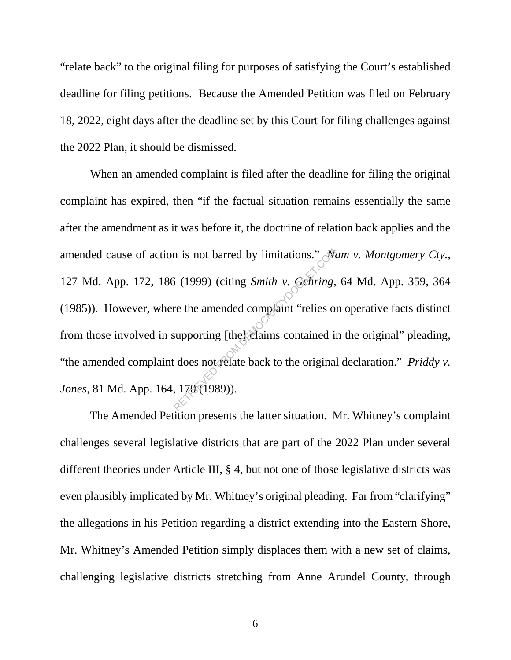"relate back" to the original filing for purposes of satisfying the Court's established deadline for filing petitions. Because the Amended Petition was filed on February 18, 2022, eight days after the deadline set by this Court for filing challenges against the 2022 Plan, it should be dismissed.

When an amended complaint is filed after the deadline for filing the original complaint has expired, then "if the factual situation remains essentially the same after the amendment as it was before it, the doctrine of relation back applies and the amended cause of action is not barred by limitations." *Nam v. Montgomery Cty.*, 127 Md. App. 172, 186 (1999) (citing *Smith v. Gehring*, 64 Md. App. 359, 364 (1985)). However, where the amended complaint "relies on operative facts distinct from those involved in supporting [the] claims contained in the original" pleading, "the amended complaint does not relate back to the original declaration." *Priddy v. Jones*, 81 Md. App. 164, 170 (1989)). The is not barred by limitations."<br>
S (1999) (citing Smith v. Genring,<br>
re the amended complaint "relies or<br>
supporting [the] claims contained is<br>
does not relate back to the original<br>
170 (1989)).

The Amended Petition presents the latter situation. Mr. Whitney's complaint challenges several legislative districts that are part of the 2022 Plan under several different theories under Article III, § 4, but not one of those legislative districts was even plausibly implicated by Mr. Whitney's original pleading. Far from "clarifying" the allegations in his Petition regarding a district extending into the Eastern Shore, Mr. Whitney's Amended Petition simply displaces them with a new set of claims, challenging legislative districts stretching from Anne Arundel County, through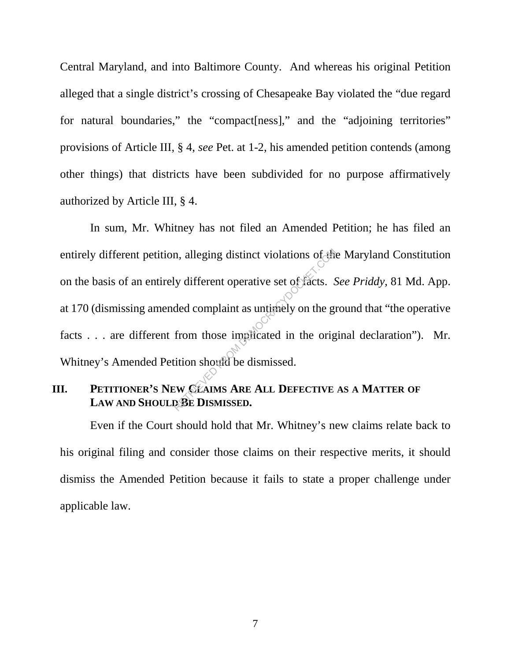Central Maryland, and into Baltimore County. And whereas his original Petition alleged that a single district's crossing of Chesapeake Bay violated the "due regard for natural boundaries," the "compact [ness]," and the "adjoining territories" provisions of Article III, § 4, *see* Pet. at 1-2, his amended petition contends (among other things) that districts have been subdivided for no purpose affirmatively authorized by Article III, § 4.

In sum, Mr. Whitney has not filed an Amended Petition; he has filed an entirely different petition, alleging distinct violations of the Maryland Constitution on the basis of an entirely different operative set of facts. *See Priddy*, 81 Md. App. at 170 (dismissing amended complaint as untimely on the ground that "the operative facts . . . are different from those implicated in the original declaration"). Mr. Whitney's Amended Petition should be dismissed. In alleging distinct violations of the<br>ly different operative set of facts.<br>ded complaint as untimely on the gradient from those implicated in the orig<br>from those implicated in the orig<br>tition should be dismissed.<br>EW CLAIM

# **III.** PETITIONER'S NEW CLAIMS ARE ALL DEFECTIVE AS A MATTER OF **LAW AND SHOULD BE DISMISSED.**

Even if the Court should hold that Mr. Whitney's new claims relate back to his original filing and consider those claims on their respective merits, it should dismiss the Amended Petition because it fails to state a proper challenge under applicable law.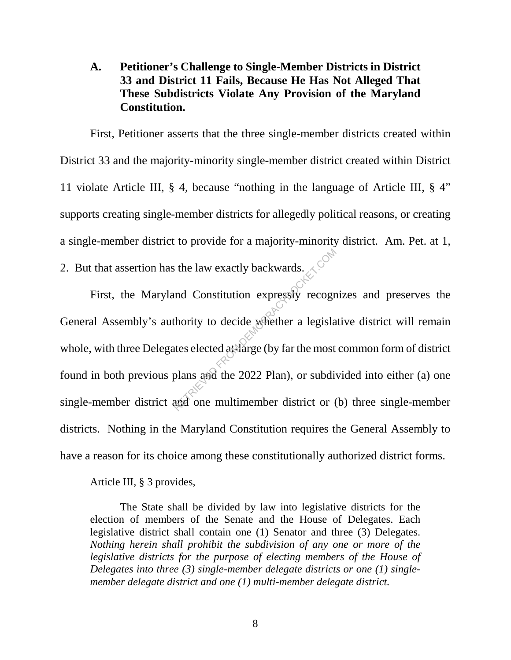# **A. Petitioner's Challenge to Single-Member Districts in District 33 and District 11 Fails, Because He Has Not Alleged That These Subdistricts Violate Any Provision of the Maryland Constitution.**

First, Petitioner asserts that the three single-member districts created within District 33 and the majority-minority single-member district created within District 11 violate Article III, § 4, because "nothing in the language of Article III, § 4" supports creating single-member districts for allegedly political reasons, or creating a single-member district to provide for a majority-minority district. Am. Pet. at 1, 2. But that assertion has the law exactly backwards.

First, the Maryland Constitution expressly recognizes and preserves the General Assembly's authority to decide whether a legislative district will remain whole, with three Delegates elected at-large (by far the most common form of district found in both previous plans and the 2022 Plan), or subdivided into either (a) one single-member district and one multimember district or (b) three single-member districts. Nothing in the Maryland Constitution requires the General Assembly to have a reason for its choice among these constitutionally authorized district forms. Referred to the law exactly backwards.<br>
And Constitution expressly recognished the most plans and the 2022 Plan), or subdivant and one multimember district or (

Article III, § 3 provides,

The State shall be divided by law into legislative districts for the election of members of the Senate and the House of Delegates. Each legislative district shall contain one (1) Senator and three (3) Delegates. *Nothing herein shall prohibit the subdivision of any one or more of the legislative districts for the purpose of electing members of the House of Delegates into three (3) single-member delegate districts or one (1) singlemember delegate district and one (1) multi-member delegate district.*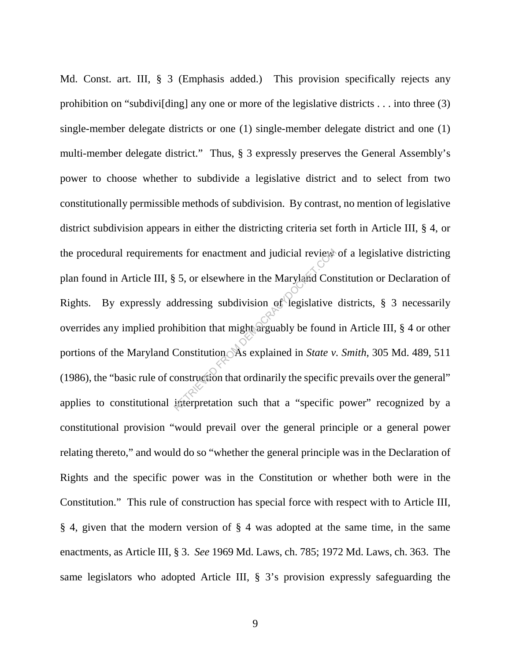Md. Const. art. III, § 3 (Emphasis added.) This provision specifically rejects any prohibition on "subdivi[ding] any one or more of the legislative districts . . . into three (3) single-member delegate districts or one (1) single-member delegate district and one (1) multi-member delegate district." Thus, § 3 expressly preserves the General Assembly's power to choose whether to subdivide a legislative district and to select from two constitutionally permissible methods of subdivision. By contrast, no mention of legislative district subdivision appears in either the districting criteria set forth in Article III, § 4, or the procedural requirements for enactment and judicial review of a legislative districting plan found in Article III, § 5, or elsewhere in the Maryland Constitution or Declaration of Rights. By expressly addressing subdivision of legislative districts, § 3 necessarily overrides any implied prohibition that might arguably be found in Article III, § 4 or other portions of the Maryland Constitution. As explained in *State v. Smith*, 305 Md. 489, 511 (1986), the "basic rule of construction that ordinarily the specific prevails over the general" applies to constitutional interpretation such that a "specific power" recognized by a constitutional provision "would prevail over the general principle or a general power relating thereto," and would do so "whether the general principle was in the Declaration of Rights and the specific power was in the Constitution or whether both were in the Constitution." This rule of construction has special force with respect with to Article III, § 4, given that the modern version of § 4 was adopted at the same time, in the same enactments, as Article III, § 3. *See* 1969 Md. Laws, ch. 785; 1972 Md. Laws, ch. 363. The same legislators who adopted Article III, § 3's provision expressly safeguarding the This for enactment and judicial review<br>
S 5, or elsewhere in the Maryland Constitution<br>
ddressing subdivision of legislative<br>
hibition that might arguably be found<br>
Constitution As explained in State v.<br>
onstruction that o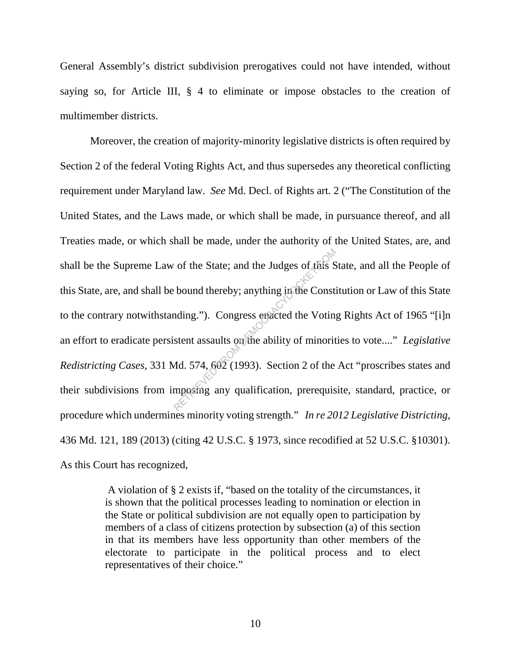General Assembly's district subdivision prerogatives could not have intended, without saying so, for Article III, § 4 to eliminate or impose obstacles to the creation of multimember districts.

 Moreover, the creation of majority-minority legislative districts is often required by Section 2 of the federal Voting Rights Act, and thus supersedes any theoretical conflicting requirement under Maryland law. *See* Md. Decl. of Rights art. 2 ("The Constitution of the United States, and the Laws made, or which shall be made, in pursuance thereof, and all Treaties made, or which shall be made, under the authority of the United States, are, and shall be the Supreme Law of the State; and the Judges of this State, and all the People of this State, are, and shall be bound thereby; anything in the Constitution or Law of this State to the contrary notwithstanding."). Congress enacted the Voting Rights Act of 1965 "[i]n an effort to eradicate persistent assaults on the ability of minorities to vote...." *Legislative Redistricting Cases*, 331 Md. 574, 602 (1993). Section 2 of the Act "proscribes states and their subdivisions from imposing any qualification, prerequisite, standard, practice, or procedure which undermines minority voting strength." *In re 2012 Legislative Districting*, 436 Md. 121, 189 (2013) (citing 42 U.S.C. § 1973, since recodified at 52 U.S.C. §10301). As this Court has recognized, of the State; and the Judges of this S<br>bound thereby; anything in the Const<br>ading."). Congress enacted the Voting<br>stent assaults on the ability of minorit<br>Md. 574, 602 (1993). Section 2 of the<br>mposing any qualification, pr

> A violation of § 2 exists if, "based on the totality of the circumstances, it is shown that the political processes leading to nomination or election in the State or political subdivision are not equally open to participation by members of a class of citizens protection by subsection (a) of this section in that its members have less opportunity than other members of the electorate to participate in the political process and to elect representatives of their choice."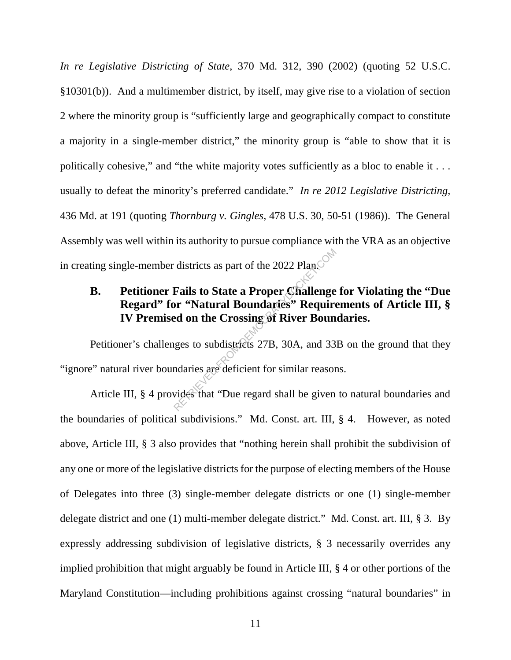*In re Legislative Districting of State*, 370 Md. 312, 390 (2002) (quoting 52 U.S.C. §10301(b)). And a multimember district, by itself, may give rise to a violation of section 2 where the minority group is "sufficiently large and geographically compact to constitute a majority in a single-member district," the minority group is "able to show that it is politically cohesive," and "the white majority votes sufficiently as a bloc to enable it . . . usually to defeat the minority's preferred candidate." *In re 2012 Legislative Districting*, 436 Md. at 191 (quoting *Thornburg v. Gingles*, 478 U.S. 30, 50-51 (1986)). The General Assembly was well within its authority to pursue compliance with the VRA as an objective in creating single-member districts as part of the 2022 Plan.

# **B. Petitioner Fails to State a Proper Challenge for Violating the "Due Regard" for "Natural Boundaries" Requirements of Article III, § IV Premised on the Crossing of River Boundaries.**  districts as part of the 2022 Plan.<sup>ON</sup><br> **Fails to State a Proper Challenge**<br> **Proper Challenge or "Natural Boundaries" Require on the Crossing of River Boundaries**<br>
reges to subdistricts 27B, 30A, and 33<br>
ndaries are defi

Petitioner's challenges to subdistricts 27B, 30A, and 33B on the ground that they "ignore" natural river boundaries are deficient for similar reasons.

Article III, § 4 provides that "Due regard shall be given to natural boundaries and the boundaries of political subdivisions." Md. Const. art. III, § 4. However, as noted above, Article III, § 3 also provides that "nothing herein shall prohibit the subdivision of any one or more of the legislative districts for the purpose of electing members of the House of Delegates into three (3) single-member delegate districts or one (1) single-member delegate district and one (1) multi-member delegate district." Md. Const. art. III, § 3. By expressly addressing subdivision of legislative districts, § 3 necessarily overrides any implied prohibition that might arguably be found in Article III, § 4 or other portions of the Maryland Constitution—including prohibitions against crossing "natural boundaries" in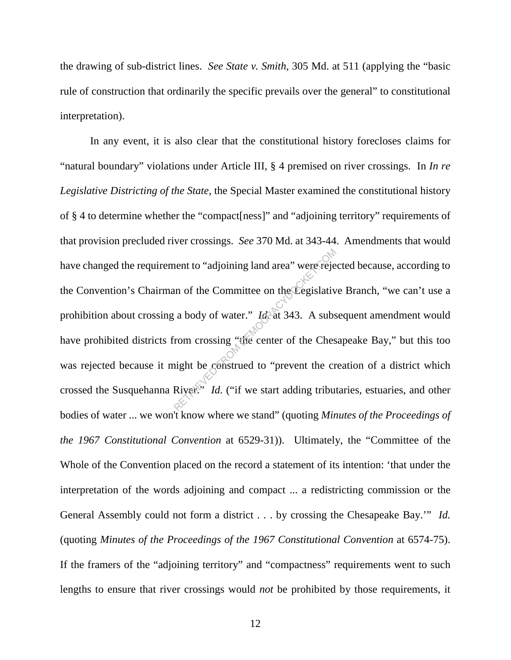the drawing of sub-district lines. *See State v. Smith*, 305 Md. at 511 (applying the "basic rule of construction that ordinarily the specific prevails over the general" to constitutional interpretation).

In any event, it is also clear that the constitutional history forecloses claims for "natural boundary" violations under Article III, § 4 premised on river crossings. In *In re Legislative Districting of the State*, the Special Master examined the constitutional history of § 4 to determine whether the "compact[ness]" and "adjoining territory" requirements of that provision precluded river crossings. *See* 370 Md. at 343-44. Amendments that would have changed the requirement to "adjoining land area" were rejected because, according to the Convention's Chairman of the Committee on the Legislative Branch, "we can't use a prohibition about crossing a body of water." *Id.* at 343. A subsequent amendment would have prohibited districts from crossing "the center of the Chesapeake Bay," but this too was rejected because it might be construed to "prevent the creation of a district which crossed the Susquehanna River." *Id.* ("if we start adding tributaries, estuaries, and other bodies of water ... we won't know where we stand" (quoting *Minutes of the Proceedings of the 1967 Constitutional Convention* at 6529-31)). Ultimately, the "Committee of the Whole of the Convention placed on the record a statement of its intention: 'that under the interpretation of the words adjoining and compact ... a redistricting commission or the General Assembly could not form a district . . . by crossing the Chesapeake Bay.'" *Id.* (quoting *Minutes of the Proceedings of the 1967 Constitutional Convention* at 6574-75). If the framers of the "adjoining territory" and "compactness" requirements went to such lengths to ensure that river crossings would *not* be prohibited by those requirements, it Nent to "adjoining land area" were rejection<br>in of the Committee on the Legislative<br>is a body of water." *Id* at 343. A substand from crossing "the center of the Ches<br>inght be construed to "prevent the crossing" *Id.* ("if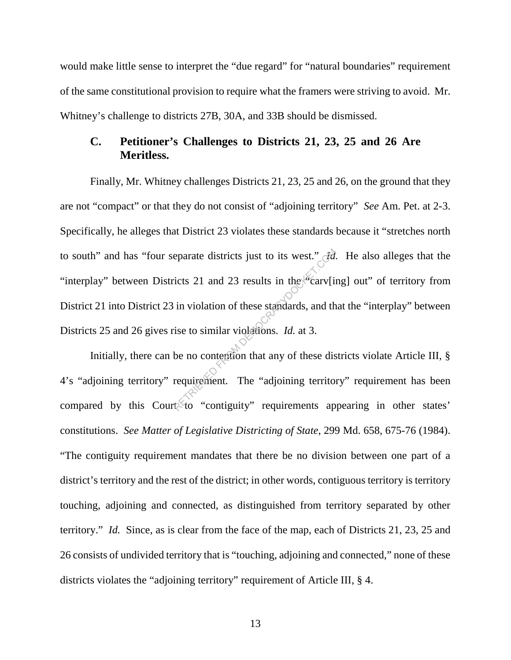would make little sense to interpret the "due regard" for "natural boundaries" requirement of the same constitutional provision to require what the framers were striving to avoid. Mr. Whitney's challenge to districts 27B, 30A, and 33B should be dismissed.

#### **C. Petitioner's Challenges to Districts 21, 23, 25 and 26 Are Meritless.**

Finally, Mr. Whitney challenges Districts 21, 23, 25 and 26, on the ground that they are not "compact" or that they do not consist of "adjoining territory" *See* Am. Pet. at 2-3. Specifically, he alleges that District 23 violates these standards because it "stretches north to south" and has "four separate districts just to its west." *Id.* He also alleges that the "interplay" between Districts 21 and 23 results in the  $\alpha$  carv[ing] out" of territory from District 21 into District 23 in violation of these standards, and that the "interplay" between Districts 25 and 26 gives rise to similar violations. *Id.* at 3. Exercise districts just to its west." Fig.<br>
icts 21 and 23 results in the carv[i]<br>
in violation of these standards, and the<br>
ise to similar violations. *Id.* at 3.<br>
be no contention that any of these dis<br>
requirement. The

Initially, there can be no contention that any of these districts violate Article III, § 4's "adjoining territory" requirement. The "adjoining territory" requirement has been compared by this Court to "contiguity" requirements appearing in other states' constitutions. *See Matter of Legislative Districting of State*, 299 Md. 658, 675-76 (1984). "The contiguity requirement mandates that there be no division between one part of a district's territory and the rest of the district; in other words, contiguous territory is territory touching, adjoining and connected, as distinguished from territory separated by other territory." *Id.* Since, as is clear from the face of the map, each of Districts 21, 23, 25 and 26 consists of undivided territory that is "touching, adjoining and connected," none of these districts violates the "adjoining territory" requirement of Article III, § 4.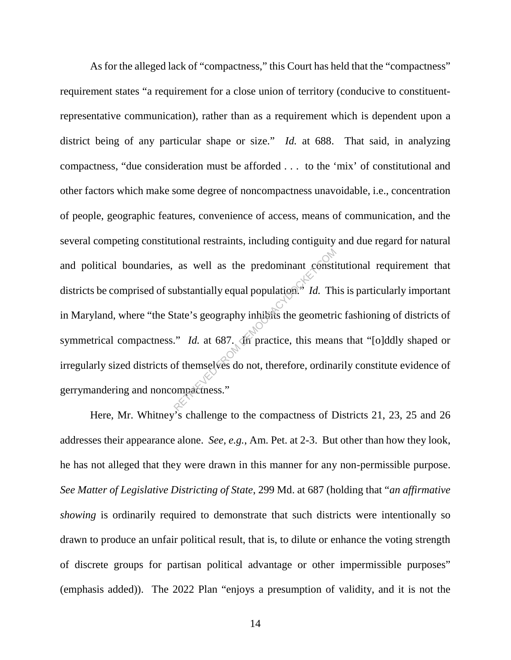As for the alleged lack of "compactness," this Court has held that the "compactness" requirement states "a requirement for a close union of territory (conducive to constituentrepresentative communication), rather than as a requirement which is dependent upon a district being of any particular shape or size." *Id.* at 688. That said, in analyzing compactness, "due consideration must be afforded . . . to the 'mix' of constitutional and other factors which make some degree of noncompactness unavoidable, i.e., concentration of people, geographic features, convenience of access, means of communication, and the several competing constitutional restraints, including contiguity and due regard for natural and political boundaries, as well as the predominant constitutional requirement that districts be comprised of substantially equal population.<sup>43</sup> *Id.* This is particularly important in Maryland, where "the State's geography inhibits the geometric fashioning of districts of symmetrical compactness." *Id.* at 687. In practice, this means that "[o]ddly shaped or irregularly sized districts of themselves do not, therefore, ordinarily constitute evidence of gerrymandering and noncompactness." as well as the predominant constitudes ubstantially equal population.<sup>27</sup> *Id.* There is geography inhibits the geometrically in the second of themselves do not, therefore, ordina populations.<sup>27</sup>

Here, Mr. Whitney's challenge to the compactness of Districts 21, 23, 25 and 26 addresses their appearance alone. *See, e.g.*, Am. Pet. at 2-3. But other than how they look, he has not alleged that they were drawn in this manner for any non-permissible purpose. *See Matter of Legislative Districting of State*, 299 Md. at 687 (holding that "*an affirmative showing* is ordinarily required to demonstrate that such districts were intentionally so drawn to produce an unfair political result, that is, to dilute or enhance the voting strength of discrete groups for partisan political advantage or other impermissible purposes" (emphasis added)). The 2022 Plan "enjoys a presumption of validity, and it is not the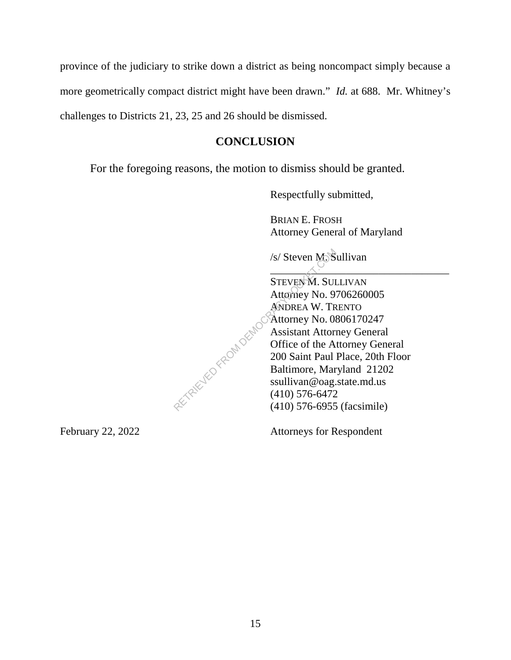province of the judiciary to strike down a district as being noncompact simply because a more geometrically compact district might have been drawn." *Id.* at 688. Mr. Whitney's challenges to Districts 21, 23, 25 and 26 should be dismissed.

# **CONCLUSION**

For the foregoing reasons, the motion to dismiss should be granted.

Respectfully submitted,

BRIAN E. FROSH Attorney General of Maryland

 $\wedge$  .

/s/ Steven M. Sullivan

STEVEN M. SULLIVAN Attorney No. 9706260005 ANDREA W. TRENTO Attorney No. 0806170247 Assistant Attorney General Office of the Attorney General 200 Saint Paul Place, 20th Floor Baltimore, Maryland 21202 ssullivan@oag.state.md.us (410) 576-6472 (410) 576-6955 (facsimile)<br>
(410) 576-6955 (facsimile)<br>
(410) 576-6955 (facsimile)

February 22, 2022 Attorneys for Respondent